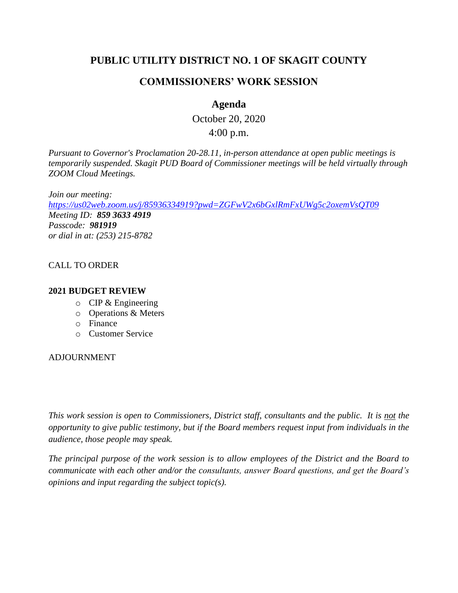# **PUBLIC UTILITY DISTRICT NO. 1 OF SKAGIT COUNTY**

# **COMMISSIONERS' WORK SESSION**

# **Agenda**

October 20, 2020 4:00 p.m.

*Pursuant to Governor's Proclamation 20-28.11, in-person attendance at open public meetings is temporarily suspended. Skagit PUD Board of Commissioner meetings will be held virtually through ZOOM Cloud Meetings.*

*Join our meeting: <https://us02web.zoom.us/j/85936334919?pwd=ZGFwV2x6bGxlRmFxUWg5c2oxemVsQT09> Meeting ID: 859 3633 4919 Passcode: 981919 or dial in at: (253) 215-8782*

#### CALL TO ORDER

#### **2021 BUDGET REVIEW**

- o CIP & Engineering
- o Operations & Meters
- o Finance
- o Customer Service

#### ADJOURNMENT

*This work session is open to Commissioners, District staff, consultants and the public. It is not the opportunity to give public testimony, but if the Board members request input from individuals in the audience, those people may speak.*

*The principal purpose of the work session is to allow employees of the District and the Board to communicate with each other and/or the consultants, answer Board questions, and get the Board's opinions and input regarding the subject topic(s).*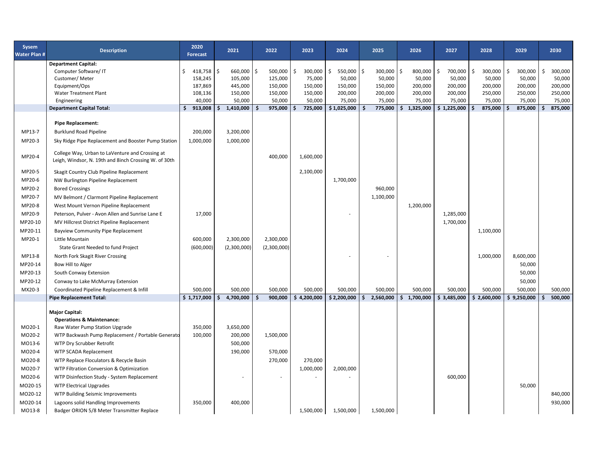| Sysem<br><b>Water Plan #</b> | <b>Description</b>                                                                                       | 2020<br><b>Forecast</b>       | 2021               | 2022                       | 2023              | 2024                    | 2025                    | 2026              | 2027              | 2028                    | 2029              | 2030                    |
|------------------------------|----------------------------------------------------------------------------------------------------------|-------------------------------|--------------------|----------------------------|-------------------|-------------------------|-------------------------|-------------------|-------------------|-------------------------|-------------------|-------------------------|
|                              | <b>Department Capital:</b>                                                                               |                               |                    |                            |                   |                         |                         |                   |                   |                         |                   |                         |
|                              | Computer Software/ IT<br>Customer/Meter                                                                  | $\zeta$<br>418,758<br>158,245 | l \$<br>660,000    | l \$<br>500,000<br>125,000 | Ś.<br>300,000     | 550,000<br>Š.<br>50,000 | Ś.<br>300,000<br>50,000 | Ŝ.<br>800,000     | \$<br>700,000     | \$<br>300,000<br>50,000 | Ś<br>300,000      | Ŝ.<br>300,000<br>50,000 |
|                              | Equipment/Ops                                                                                            | 187,869                       | 105,000<br>445,000 | 150,000                    | 75,000<br>150,000 | 150,000                 | 150,000                 | 50,000<br>200,000 | 50,000<br>200,000 | 200,000                 | 50,000<br>200,000 | 200,000                 |
|                              | <b>Water Treatment Plant</b>                                                                             | 108,136                       | 150,000            | 150,000                    | 150,000           | 200,000                 | 200,000                 | 200,000           | 200,000           | 250,000                 | 250,000           | 250,000                 |
|                              | Engineering                                                                                              | 40,000                        | 50,000             | 50,000                     | 50,000            | 75,000                  | 75,000                  | 75,000            | 75,000            | 75,000                  | 75,000            | 75,000                  |
|                              | <b>Department Capital Total:</b>                                                                         | \$<br>913,008                 | 1,410,000<br>\$    | Ś<br>975,000               | 725,000           | \$1,025,000             | 775,000<br>Ś            | 1,325,000<br>\$.  | \$1,225,000       | \$<br>875,000           | 875,000           | 875,000<br>Ś            |
|                              |                                                                                                          |                               |                    |                            |                   |                         |                         |                   |                   |                         |                   |                         |
|                              | <b>Pipe Replacement:</b>                                                                                 |                               |                    |                            |                   |                         |                         |                   |                   |                         |                   |                         |
| MP13-7                       | <b>Burklund Road Pipeline</b>                                                                            | 200,000                       | 3,200,000          |                            |                   |                         |                         |                   |                   |                         |                   |                         |
| MP20-3                       | Sky Ridge Pipe Replacement and Booster Pump Station                                                      | 1,000,000                     | 1,000,000          |                            |                   |                         |                         |                   |                   |                         |                   |                         |
| MP20-4                       | College Way, Urban to LaVenture and Crossing at<br>Leigh, Windsor, N. 19th and 8inch Crossing W. of 30th |                               |                    | 400,000                    | 1,600,000         |                         |                         |                   |                   |                         |                   |                         |
| MP20-5                       | Skagit Country Club Pipeline Replacement                                                                 |                               |                    |                            | 2,100,000         |                         |                         |                   |                   |                         |                   |                         |
| MP20-6                       | NW Burlington Pipeline Replacement                                                                       |                               |                    |                            |                   | 1,700,000               |                         |                   |                   |                         |                   |                         |
| MP20-2                       | <b>Bored Crossings</b>                                                                                   |                               |                    |                            |                   |                         | 960,000                 |                   |                   |                         |                   |                         |
| MP20-7                       | MV Belmont / Clarmont Pipeline Replacement                                                               |                               |                    |                            |                   |                         | 1,100,000               |                   |                   |                         |                   |                         |
| MP20-8                       | West Mount Vernon Pipeline Replacement                                                                   |                               |                    |                            |                   |                         |                         | 1,200,000         |                   |                         |                   |                         |
| MP20-9                       | Peterson, Pulver - Avon Allen and Sunrise Lane E                                                         | 17,000                        |                    |                            |                   |                         |                         |                   | 1,285,000         |                         |                   |                         |
| MP20-10                      | MV Hillcrest District Pipeline Replacement                                                               |                               |                    |                            |                   |                         |                         |                   | 1,700,000         |                         |                   |                         |
| MP20-11                      | <b>Bayview Community Pipe Replacement</b>                                                                |                               |                    |                            |                   |                         |                         |                   |                   | 1,100,000               |                   |                         |
| MP20-1                       | Little Mountain                                                                                          | 600,000                       | 2,300,000          | 2,300,000                  |                   |                         |                         |                   |                   |                         |                   |                         |
|                              | State Grant Needed to fund Project                                                                       | (600,000)                     | (2,300,000)        | (2,300,000)                |                   |                         |                         |                   |                   |                         |                   |                         |
| MP13-8                       | North Fork Skagit River Crossing                                                                         |                               |                    |                            |                   |                         |                         |                   |                   | 1,000,000               | 8,600,000         |                         |
| MP20-14                      | Bow Hill to Alger                                                                                        |                               |                    |                            |                   |                         |                         |                   |                   |                         | 50,000            |                         |
| MP20-13                      | South Conway Extension                                                                                   |                               |                    |                            |                   |                         |                         |                   |                   |                         | 50,000            |                         |
| MP20-12                      | Conway to Lake McMurray Extension                                                                        |                               |                    |                            |                   |                         |                         |                   |                   |                         | 50,000            |                         |
| MX20-3                       | Coordinated Pipeline Replacement & Infill                                                                | 500,000                       | 500,000            | 500,000                    | 500,000           | 500,000                 | 500,000                 | 500,000           | 500,000           | 500,000                 | 500,000           | 500,000                 |
|                              | <b>Pipe Replacement Total:</b>                                                                           | \$1,717,000                   | 4,700,000<br>\$    | 900,000<br>\$              | \$4,200,000       | \$2,200,000             | 2,560,000<br>\$         | \$1,700,000       | \$3,485,000       | \$2,600,000             | \$9,250,000       | 500,000<br>Ŝ            |
|                              |                                                                                                          |                               |                    |                            |                   |                         |                         |                   |                   |                         |                   |                         |
|                              | <b>Major Capital:</b>                                                                                    |                               |                    |                            |                   |                         |                         |                   |                   |                         |                   |                         |
|                              | <b>Operations &amp; Maintenance:</b>                                                                     |                               |                    |                            |                   |                         |                         |                   |                   |                         |                   |                         |
| MO20-1                       | Raw Water Pump Station Upgrade                                                                           | 350,000                       | 3,650,000          |                            |                   |                         |                         |                   |                   |                         |                   |                         |
| MO20-2                       | WTP Backwash Pump Replacement / Portable Generato                                                        | 100,000                       | 200,000            | 1,500,000                  |                   |                         |                         |                   |                   |                         |                   |                         |
| MO13-6                       | WTP Dry Scrubber Retrofit                                                                                |                               | 500,000            |                            |                   |                         |                         |                   |                   |                         |                   |                         |
| MO20-4                       | WTP SCADA Replacement                                                                                    |                               | 190,000            | 570,000                    |                   |                         |                         |                   |                   |                         |                   |                         |
| MO20-8                       | WTP Replace Floculators & Recycle Basin                                                                  |                               |                    | 270,000                    | 270,000           |                         |                         |                   |                   |                         |                   |                         |
| MO20-7                       | WTP Filtration Conversion & Optimization                                                                 |                               |                    |                            | 1,000,000         | 2,000,000               |                         |                   |                   |                         |                   |                         |
| MO20-6                       | WTP Disinfection Study - System Replacement                                                              |                               |                    |                            |                   |                         |                         |                   | 600,000           |                         |                   |                         |
| MO20-15                      | <b>WTP Electrical Upgrades</b>                                                                           |                               |                    |                            |                   |                         |                         |                   |                   |                         | 50,000            |                         |
| MO20-12                      | WTP Building Seismic Improvements                                                                        |                               |                    |                            |                   |                         |                         |                   |                   |                         |                   | 840,000                 |
| MO20-14                      | Lagoons solid Handling Improvements                                                                      | 350,000                       | 400,000            |                            |                   |                         |                         |                   |                   |                         |                   | 930,000                 |
| MO13-8                       | Badger ORION 5/8 Meter Transmitter Replace                                                               |                               |                    |                            | 1,500,000         | 1,500,000               | 1,500,000               |                   |                   |                         |                   |                         |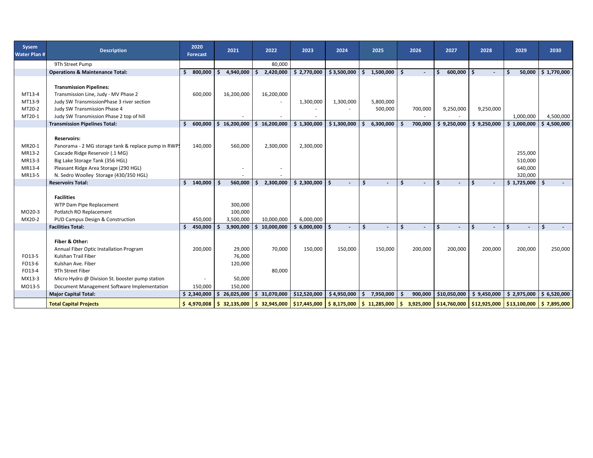| Sysem<br><b>Water Plan #</b>                   | <b>Description</b>                                                                                                                                                                                                                      |     | 2020<br><b>Forecast</b> |    | 2021                                             |     | 2022                     | 2023                                                                                                                                                                                                                              | 2024                     |    | 2025                              |    | 2026               |    | 2027                     | 2028                     | 2029 |                                          | 2030                     |  |
|------------------------------------------------|-----------------------------------------------------------------------------------------------------------------------------------------------------------------------------------------------------------------------------------------|-----|-------------------------|----|--------------------------------------------------|-----|--------------------------|-----------------------------------------------------------------------------------------------------------------------------------------------------------------------------------------------------------------------------------|--------------------------|----|-----------------------------------|----|--------------------|----|--------------------------|--------------------------|------|------------------------------------------|--------------------------|--|
|                                                | 9Th Street Pump                                                                                                                                                                                                                         |     |                         |    |                                                  |     | 80,000                   |                                                                                                                                                                                                                                   |                          |    |                                   |    |                    |    |                          |                          |      |                                          |                          |  |
|                                                | <b>Operations &amp; Maintenance Total:</b>                                                                                                                                                                                              | Ŝ.  | 800,000                 | s. | 4,940,000                                        |     | 2,420,000                | \$2,770,000                                                                                                                                                                                                                       | \$3,500,000              | Ŝ. | 1,500,000                         | Ŝ. |                    |    | 600,000                  | $\blacksquare$           | \$.  | 50,000                                   | \$1,770,000              |  |
| MT13-4<br>MT13-9<br>MT20-2<br>MT20-1           | <b>Transmission Pipelines:</b><br>Transmission Line, Judy - MV Phase 2<br>Judy SW TransmissionPhase 3 river section<br>Judy SW Transmission Phase 4<br>Judy SW Transmission Phase 2 top of hill<br><b>Transmission Pipelines Total:</b> | Ŝ.  | 600,000<br>600,000      |    | 16,200,000<br>\$16,200,000                       | Ŝ.  | 16,200,000<br>16,200,000 | 1,300,000<br>\$1,300,000                                                                                                                                                                                                          | 1,300,000<br>\$1,300,000 | Ŝ. | 5,800,000<br>500,000<br>6,300,000 |    | 700,000<br>700,000 |    | 9,250,000<br>\$9,250,000 | 9,250,000<br>\$9,250,000 |      | 1,000,000<br>\$1,000,000                 | 4,500,000<br>\$4,500,000 |  |
| MR20-1<br>MR13-2<br>MR13-3<br>MR13-4<br>MR13-5 | <b>Reservoirs:</b><br>Panorama - 2 MG storage tank & replace pump in RWP.<br>Cascade Ridge Reservoir (.1 MG)<br>Big Lake Storage Tank (356 HGL)<br>Pleasant Ridge Area Storage (290 HGL)<br>N. Sedro Woolley Storage (430/350 HGL)      |     | 140,000                 |    | 560,000                                          |     | 2,300,000                | 2,300,000                                                                                                                                                                                                                         |                          |    |                                   |    |                    |    |                          |                          |      | 255,000<br>510,000<br>640,000<br>320,000 |                          |  |
|                                                | <b>Reservoirs Total:</b>                                                                                                                                                                                                                |     | \$140,000               | S  | 560,000                                          |     | 2,300,000                | $$2,300,000$ $$$                                                                                                                                                                                                                  |                          | Ś. | $\overline{\phantom{0}}$          | \$ |                    | Ŝ. | $\overline{\phantom{a}}$ | -\$<br>$\blacksquare$    |      | \$1,725,000                              | \$.                      |  |
| MO20-3<br>MX20-2                               | <b>Facilities</b><br>WTP Dam Pipe Replacement<br>Potlatch RO Replacement<br>PUD Campus Design & Construction                                                                                                                            |     | 450,000                 |    | 300,000<br>100,000<br>3,500,000                  |     | 10,000,000               | 6,000,000                                                                                                                                                                                                                         |                          |    |                                   |    |                    |    |                          |                          |      |                                          |                          |  |
|                                                | <b>Facilities Total:</b>                                                                                                                                                                                                                | \$. | 450,000                 | Ŝ. | 3,900,000                                        | Ŝ.  | 10,000,000               | $$6,000,000$ $$$                                                                                                                                                                                                                  |                          | Ś  | $\overline{a}$                    | \$ |                    | Ś  |                          | $\overline{\phantom{a}}$ | \$   |                                          | Ś                        |  |
| FO13-5<br>FO13-6<br>FO13-4<br>MX13-3<br>MO13-5 | Fiber & Other:<br>Annual Fiber Optic Installation Program<br>Kulshan Trail Fiber<br>Kulshan Ave. Fiber<br>9Th Street Fiber<br>Micro Hydro @ Division St. booster pump station<br>Document Management Software Implementation            |     | 200,000<br>150,000      |    | 29,000<br>76,000<br>120,000<br>50,000<br>150,000 |     | 70,000<br>80,000         | 150,000                                                                                                                                                                                                                           | 150,000                  |    | 150,000                           |    | 200,000            |    | 200,000                  | 200,000                  |      | 200,000                                  | 250,000                  |  |
|                                                | <b>Major Capital Total:</b>                                                                                                                                                                                                             |     | \$2,340,000             |    | \$26,025,000                                     | l S | 31,070,000               | \$12,520,000                                                                                                                                                                                                                      | \$4,950,000              | -S | 7,950,000                         |    | 900,000            |    | \$10,050,000             | \$9,450,000              |      | \$2,975,000                              | \$6,520,000              |  |
|                                                | <b>Total Capital Projects</b>                                                                                                                                                                                                           |     | \$4,970,008             |    |                                                  |     |                          | $\frac{1}{2}$ 32,135,000 $\frac{1}{2}$ 32,945,000 $\frac{1}{2}$ 31,445,000 $\frac{1}{2}$ 8,175,000 $\frac{1}{2}$ 11,285,000 $\frac{1}{2}$ 3,925,000 $\frac{1}{2}$ 314,760,000 $\frac{1}{2}$ 312,925,000 $\frac{1}{2}$ 313,100,000 |                          |    |                                   |    |                    |    |                          |                          |      |                                          | 57,895,000               |  |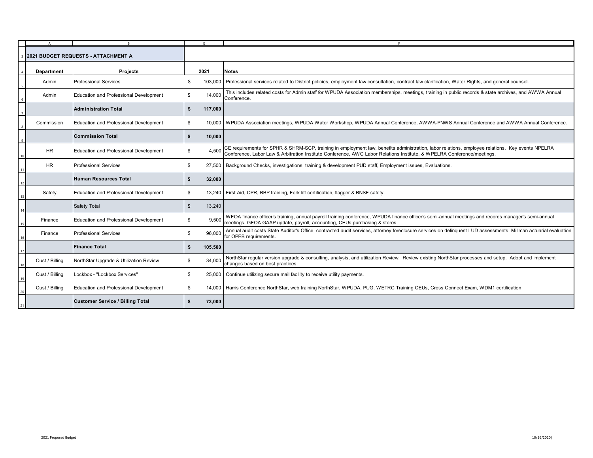|                                      | $\overline{A}$ |                                               |               |                                                                                                                                                                                                                                   |
|--------------------------------------|----------------|-----------------------------------------------|---------------|-----------------------------------------------------------------------------------------------------------------------------------------------------------------------------------------------------------------------------------|
| I2021 BUDGET REQUESTS - ATTACHMENT A |                |                                               |               |                                                                                                                                                                                                                                   |
|                                      | Department     | <b>Projects</b>                               | 2021          | <b>Notes</b>                                                                                                                                                                                                                      |
| $\overline{\phantom{0}}$             | Admin          | <b>Professional Services</b>                  | \$<br>103,000 | Professional services related to District policies, employment law consultation, contract law clarification, Water Rights, and general counsel.                                                                                   |
|                                      | Admin          | Education and Professional Development        | 14,000<br>\$  | This includes related costs for Admin staff for WPUDA Association memberships, meetings, training in public records & state archives, and AWWA Annual<br>Conference.                                                              |
|                                      |                | <b>Administration Total</b>                   | 117,000<br>\$ |                                                                                                                                                                                                                                   |
|                                      | Commission     | <b>Education and Professional Development</b> | \$            | 10,000   WPUDA Association meetings, WPUDA Water Workshop, WPUDA Annual Conference, AWWA-PNWS Annual Conference and AWWA Annual Conference.                                                                                       |
|                                      |                | <b>Commission Total</b>                       | \$<br>10,000  |                                                                                                                                                                                                                                   |
|                                      | HR.            | <b>Education and Professional Development</b> | \$<br>4.500   | CE requirements for SPHR & SHRM-SCP, training in employment law, benefits administration, labor relations, employee relations. Key events NPELRA<br>Conference, Labor Law & Arbitration Institute Conference, AWC Labor Relations |
|                                      | HR.            | <b>Professional Services</b>                  | \$            | 27,500   Background Checks, investigations, training & development PUD staff, Employment issues, Evaluations.                                                                                                                     |
|                                      |                | Human Resources Total                         | 32,000<br>\$  |                                                                                                                                                                                                                                   |
|                                      | Safety         | Education and Professional Development        | \$            | 13,240   First Aid, CPR, BBP training, Fork lift certification, flagger & BNSF safety                                                                                                                                             |
|                                      |                | Safety Total                                  | 13,240<br>\$  |                                                                                                                                                                                                                                   |
|                                      | Finance        | Education and Professional Development        | 9.500<br>\$   | WFOA finance officer's training, annual payroll training conference, WPUDA finance officer's semi-annual meetings and records manager's semi-annual<br>meetings, GFOA GAAP update, payroll, accounting, CEUs purchasing & stores. |
|                                      | Finance        | <b>Professional Services</b>                  | 96,000<br>\$  | Annual audit costs State Auditor's Office, contracted audit services, attorney foreclosure services on delinguent LUD assessments, Millman actuarial evaluation<br>for OPEB requirements.                                         |
| 17                                   |                | <b>Finance Total</b>                          | 105,500<br>\$ |                                                                                                                                                                                                                                   |
| 18                                   | Cust / Billing | NorthStar Upgrade & Utilization Review        | 34,000<br>\$  | NorthStar regular version upgrade & consulting, analysis, and utilization Review. Review existing NorthStar processes and setup. Adopt and implement<br>changes based on best practices.                                          |
| 19                                   | Cust / Billing | Lockbox - "Lockbox Services"                  | \$            | 25,000 Continue utilizing secure mail facility to receive utility payments.                                                                                                                                                       |
| 20                                   | Cust / Billing | Education and Professional Development        | \$            | 14,000   Harris Conference NorthStar, web training NorthStar, WPUDA, PUG, WETRC Training CEUs, Cross Connect Exam, WDM1 certification                                                                                             |
| 21                                   |                | <b>Customer Service / Billing Total</b>       | \$<br>73,000  |                                                                                                                                                                                                                                   |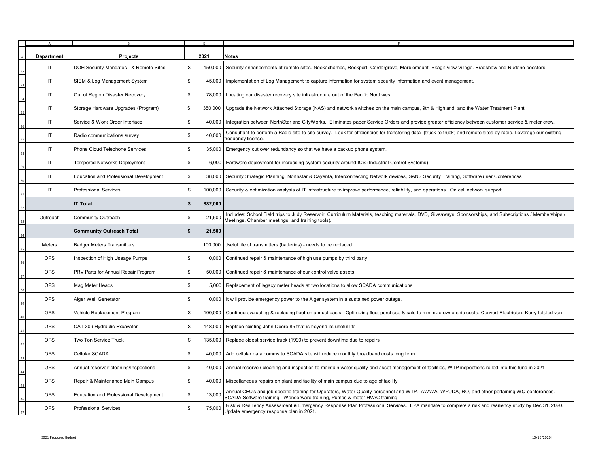|    | А          |                                               | E                        |                                                                                                                                                                                                                           |
|----|------------|-----------------------------------------------|--------------------------|---------------------------------------------------------------------------------------------------------------------------------------------------------------------------------------------------------------------------|
|    | Department | <b>Projects</b>                               | 2021                     | <b>Notes</b>                                                                                                                                                                                                              |
|    | IT.        | DOH Security Mandates - & Remote Sites        | \$<br>150,000            | Security enhancements at remote sites. Nookachamps, Rockport, Cerdargrove, Marblemount, Skagit View Village. Bradshaw and Rudene boosters.                                                                                |
|    | IT.        | SIEM & Log Management System                  | \$<br>45,000             | Implementation of Log Management to capture information for system security information and event management.                                                                                                             |
|    | IT.        | Out of Region Disaster Recovery               | \$<br>78,000             | Locating our disaster recovery site infrastructure out of the Pacific Northwest.                                                                                                                                          |
|    | IT.        | Storage Hardware Upgrades (Program)           | \$<br>350,000            | Upgrade the Network Attached Storage (NAS) and network switches on the main campus, 9th & Highland, and the Water Treatment Plant.                                                                                        |
|    | IT.        | Service & Work Order Interface                | \$<br>40,000             | Integration between NorthStar and CityWorks. Eliminates paper Service Orders and provide greater efficiency between customer service & meter crew.                                                                        |
|    | IT.        | Radio communications survey                   | \$<br>40,000             | Consultant to perform a Radio site to site survey. Look for efficiencies for transfering data (truck to truck) and remote sites by radio. Leverage our existing<br>frequency license.                                     |
|    | IT         | Phone Cloud Telephone Services                | \$<br>35,000             | Emergency cut over redundancy so that we have a backup phone system.                                                                                                                                                      |
|    | IT         | <b>Tempered Networks Deployment</b>           | $$\mathbb{S}$$<br>6,000  | Hardware deployment for increasing system security around ICS (Industrial Control Systems)                                                                                                                                |
|    | IT         | Education and Professional Development        | $$\mathbb{S}$$<br>38,000 | Security Strategic Planning, Northstar & Cayenta, Interconnecting Network devices, SANS Security Training, Software user Conferences                                                                                      |
|    | IT.        | <b>Professional Services</b>                  | \$<br>100,000            | Security & optimization analysis of IT infrastructure to improve performance, reliability, and operations. On call network support.                                                                                       |
|    |            | <b>IT Total</b>                               | \$<br>882,000            |                                                                                                                                                                                                                           |
|    | Outreach   | Community Outreach                            | \$<br>21,500             | Includes: School Field trips to Judy Reservoir, Curriculum Materials, teaching materials, DVD, Giveaways, Sponsorships, and Subscriptions / Memberships /<br>Meetings, Chamber meetings, and training tools).             |
|    |            | <b>Community Outreach Total</b>               | \$<br>21,500             |                                                                                                                                                                                                                           |
|    | Meters     | <b>Badger Meters Transmitters</b>             | 100,000                  | Useful life of transmitters (batteries) - needs to be replaced                                                                                                                                                            |
|    | <b>OPS</b> | Inspection of High Useage Pumps               | \$<br>10,000             | Continued repair & maintenance of high use pumps by third party                                                                                                                                                           |
|    | <b>OPS</b> | PRV Parts for Annual Repair Program           | \$<br>50,000             | Continued repair & maintenance of our control valve assets                                                                                                                                                                |
|    | <b>OPS</b> | Mag Meter Heads                               | \$<br>5,000              | Replacement of legacy meter heads at two locations to allow SCADA communications                                                                                                                                          |
|    | <b>OPS</b> | Alger Well Generator                          | \$<br>10,000             | It will provide emergency power to the Alger system in a sustained power outage.                                                                                                                                          |
|    | <b>OPS</b> | Vehicle Replacement Program                   | \$<br>100,000            | Continue evaluating & replacing fleet on annual basis. Optimizing fleet purchase & sale to minimize ownership costs. Convert Electrician, Kerry totaled van                                                               |
|    | <b>OPS</b> | CAT 309 Hydraulic Excavator                   | \$<br>148,000            | Replace existing John Deere 85 that is beyond its useful life                                                                                                                                                             |
| 42 | <b>OPS</b> | Two Ton Service Truck                         | \$<br>135,000            | Replace oldest service truck (1990) to prevent downtime due to repairs                                                                                                                                                    |
|    | <b>OPS</b> | Cellular SCADA                                | $$\mathbb{S}$$<br>40,000 | Add cellular data comms to SCADA site will reduce monthly broadband costs long term                                                                                                                                       |
|    | <b>OPS</b> | Annual reservoir cleaning/Inspections         | $$\mathbb{S}$$<br>40,000 | Annual reservoir cleaning and inspection to maintain water quality and asset management of facilities, WTP inspections rolled into this fund in 2021                                                                      |
|    | <b>OPS</b> | Repair & Maintenance Main Campus              | $$\mathbb{S}$$<br>40,000 | Miscellaneous repairs on plant and facility of main campus due to age of facility                                                                                                                                         |
|    | <b>OPS</b> | <b>Education and Professional Development</b> | \$<br>13,000             | Annual CEU's and job specific training for Operators, Water Quality personnel and WTP. AWWA, WPUDA, RO, and other pertaining WQ conferences.<br>SCADA Software training. Wonderware training, Pumps & motor HVAC training |
|    | <b>OPS</b> | <b>Professional Services</b>                  | \$<br>75,000             | Risk & Resiliency Assessment & Emergency Response Plan Professional Services. EPA mandate to complete a risk and resiliency study by Dec 31, 2020.<br>Update emergency response plan in 2021.                             |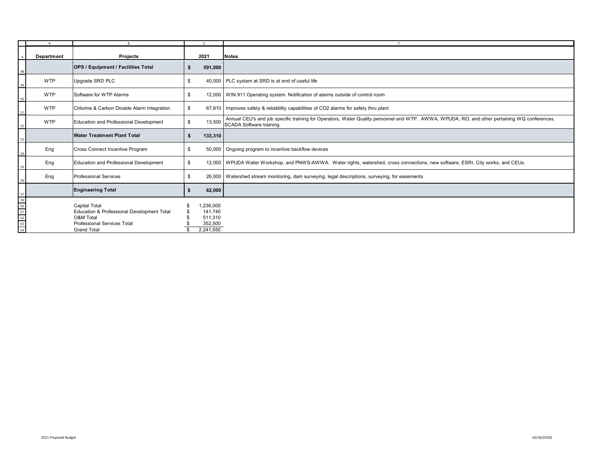|                                        | $\mathsf{A}$ | R <sub>1</sub>                                                                                                                              |                                                        |                                                                                                                                                                          |
|----------------------------------------|--------------|---------------------------------------------------------------------------------------------------------------------------------------------|--------------------------------------------------------|--------------------------------------------------------------------------------------------------------------------------------------------------------------------------|
|                                        | Department   | Projects                                                                                                                                    | 2021                                                   | <b>Notes</b>                                                                                                                                                             |
|                                        |              | <b>OPS / Equipment / Facilities Total</b>                                                                                                   | 591,000                                                |                                                                                                                                                                          |
| 49                                     | <b>WTP</b>   | Upgrade SRD PLC                                                                                                                             | \$                                                     | 40,000   PLC system at SRD is at end of useful life                                                                                                                      |
| 50                                     | <b>WTP</b>   | Software for WTP Alarms                                                                                                                     | \$                                                     | 12,000   WIN 911 Operating system. Notification of alarms outside of control room                                                                                        |
| 51                                     | <b>WTP</b>   | Chlorine & Carbon Dioxide Alarm Integration                                                                                                 | \$                                                     | 67,810   Improves safety & reliability capabilities of CO2 alarms for safety thru plant                                                                                  |
| 52                                     | <b>WTP</b>   | <b>Education and Professional Development</b>                                                                                               | 13,500<br>\$                                           | Annual CEU's and job specific training for Operators, Water Quality personnel and WTP. AWWA, WPUDA, RO, and other pertaining WQ conferences.<br>SCADA Software training. |
| 53                                     |              | <b>Water Treatment Plant Total</b>                                                                                                          | 133,310<br>\$                                          |                                                                                                                                                                          |
| $\frac{54}{5}$                         | Eng          | Cross Connect Incentive Program                                                                                                             | 50,000<br>\$                                           | Ongoing program to incentive backflow devices                                                                                                                            |
| 55                                     | Eng          | Education and Professional Development                                                                                                      | \$                                                     | 12,000   WPUDA Water Workshop, and PNWS-AWWA. Water rights, watershed, cross connections, new software, ESRI, City works, and CEUs.                                      |
| 56                                     | Eng          | <b>Professional Services</b>                                                                                                                | \$                                                     | 26,000   Watershed stream monitoring, dam surveying, legal descriptions, surveying, for easements                                                                        |
|                                        |              | <b>Engineering Total</b>                                                                                                                    | 62,000<br>-\$                                          |                                                                                                                                                                          |
| 57<br>59<br>60<br>61<br>62<br>63<br>64 |              | <b>Capital Total</b><br>Education & Professional Development Total<br>O&M Total<br><b>Professional Services Total</b><br><b>Grand Total</b> | .236,000<br>141,740<br>511,310<br>352,500<br>2,241,550 |                                                                                                                                                                          |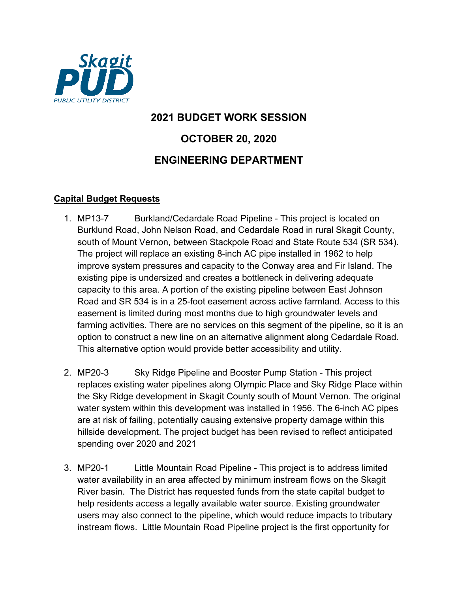

# **2021 BUDGET WORK SESSION OCTOBER 20, 2020 ENGINEERING DEPARTMENT**

## **Capital Budget Requests**

- 1. MP13-7 Burkland/Cedardale Road Pipeline This project is located on Burklund Road, John Nelson Road, and Cedardale Road in rural Skagit County, south of Mount Vernon, between Stackpole Road and State Route 534 (SR 534). The project will replace an existing 8-inch AC pipe installed in 1962 to help improve system pressures and capacity to the Conway area and Fir Island. The existing pipe is undersized and creates a bottleneck in delivering adequate capacity to this area. A portion of the existing pipeline between East Johnson Road and SR 534 is in a 25-foot easement across active farmland. Access to this easement is limited during most months due to high groundwater levels and farming activities. There are no services on this segment of the pipeline, so it is an option to construct a new line on an alternative alignment along Cedardale Road. This alternative option would provide better accessibility and utility.
- 2. MP20-3 Sky Ridge Pipeline and Booster Pump Station This project replaces existing water pipelines along Olympic Place and Sky Ridge Place within the Sky Ridge development in Skagit County south of Mount Vernon. The original water system within this development was installed in 1956. The 6-inch AC pipes are at risk of failing, potentially causing extensive property damage within this hillside development. The project budget has been revised to reflect anticipated spending over 2020 and 2021
- 3. MP20-1 Little Mountain Road Pipeline This project is to address limited water availability in an area affected by minimum instream flows on the Skagit River basin. The District has requested funds from the state capital budget to help residents access a legally available water source. Existing groundwater users may also connect to the pipeline, which would reduce impacts to tributary instream flows. Little Mountain Road Pipeline project is the first opportunity for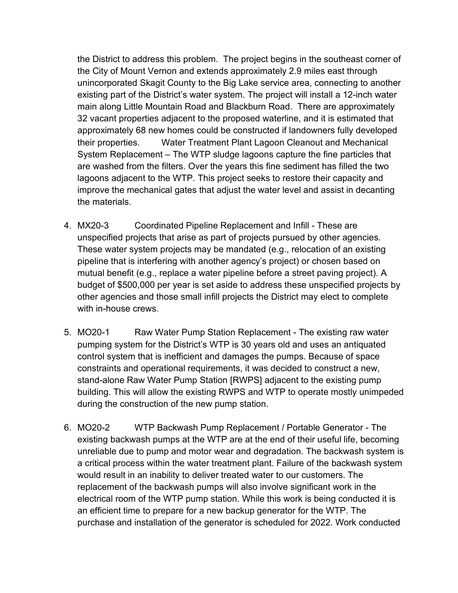the District to address this problem. The project begins in the southeast corner of the City of Mount Vernon and extends approximately 2.9 miles east through unincorporated Skagit County to the Big Lake service area, connecting to another existing part of the District's water system. The project will install a 12-inch water main along Little Mountain Road and Blackburn Road. There are approximately 32 vacant properties adjacent to the proposed waterline, and it is estimated that approximately 68 new homes could be constructed if landowners fully developed their properties. Water Treatment Plant Lagoon Cleanout and Mechanical System Replacement – The WTP sludge lagoons capture the fine particles that are washed from the filters. Over the years this fine sediment has filled the two lagoons adjacent to the WTP. This project seeks to restore their capacity and improve the mechanical gates that adjust the water level and assist in decanting the materials.

- 4. MX20-3 Coordinated Pipeline Replacement and Infill These are unspecified projects that arise as part of projects pursued by other agencies. These water system projects may be mandated (e.g., relocation of an existing pipeline that is interfering with another agency's project) or chosen based on mutual benefit (e.g., replace a water pipeline before a street paving project). A budget of \$500,000 per year is set aside to address these unspecified projects by other agencies and those small infill projects the District may elect to complete with in-house crews.
- 5. MO20-1 Raw Water Pump Station Replacement The existing raw water pumping system for the District's WTP is 30 years old and uses an antiquated control system that is inefficient and damages the pumps. Because of space constraints and operational requirements, it was decided to construct a new, stand-alone Raw Water Pump Station [RWPS] adjacent to the existing pump building. This will allow the existing RWPS and WTP to operate mostly unimpeded during the construction of the new pump station.
- 6. MO20-2 WTP Backwash Pump Replacement / Portable Generator The existing backwash pumps at the WTP are at the end of their useful life, becoming unreliable due to pump and motor wear and degradation. The backwash system is a critical process within the water treatment plant. Failure of the backwash system would result in an inability to deliver treated water to our customers. The replacement of the backwash pumps will also involve significant work in the electrical room of the WTP pump station. While this work is being conducted it is an efficient time to prepare for a new backup generator for the WTP. The purchase and installation of the generator is scheduled for 2022. Work conducted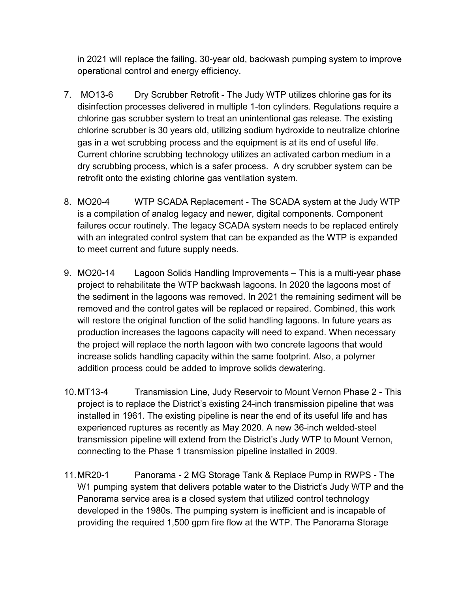in 2021 will replace the failing, 30-year old, backwash pumping system to improve operational control and energy efficiency.

- 7. MO13-6 Dry Scrubber Retrofit The Judy WTP utilizes chlorine gas for its disinfection processes delivered in multiple 1-ton cylinders. Regulations require a chlorine gas scrubber system to treat an unintentional gas release. The existing chlorine scrubber is 30 years old, utilizing sodium hydroxide to neutralize chlorine gas in a wet scrubbing process and the equipment is at its end of useful life. Current chlorine scrubbing technology utilizes an activated carbon medium in a dry scrubbing process, which is a safer process. A dry scrubber system can be retrofit onto the existing chlorine gas ventilation system.
- 8. MO20-4 WTP SCADA Replacement The SCADA system at the Judy WTP is a compilation of analog legacy and newer, digital components. Component failures occur routinely. The legacy SCADA system needs to be replaced entirely with an integrated control system that can be expanded as the WTP is expanded to meet current and future supply needs.
- 9. MO20-14 Lagoon Solids Handling Improvements This is a multi-year phase project to rehabilitate the WTP backwash lagoons. In 2020 the lagoons most of the sediment in the lagoons was removed. In 2021 the remaining sediment will be removed and the control gates will be replaced or repaired. Combined, this work will restore the original function of the solid handling lagoons. In future years as production increases the lagoons capacity will need to expand. When necessary the project will replace the north lagoon with two concrete lagoons that would increase solids handling capacity within the same footprint. Also, a polymer addition process could be added to improve solids dewatering.
- 10.MT13-4 Transmission Line, Judy Reservoir to Mount Vernon Phase 2 This project is to replace the District's existing 24-inch transmission pipeline that was installed in 1961. The existing pipeline is near the end of its useful life and has experienced ruptures as recently as May 2020. A new 36-inch welded-steel transmission pipeline will extend from the District's Judy WTP to Mount Vernon, connecting to the Phase 1 transmission pipeline installed in 2009.
- 11.MR20-1 Panorama 2 MG Storage Tank & Replace Pump in RWPS The W1 pumping system that delivers potable water to the District's Judy WTP and the Panorama service area is a closed system that utilized control technology developed in the 1980s. The pumping system is inefficient and is incapable of providing the required 1,500 gpm fire flow at the WTP. The Panorama Storage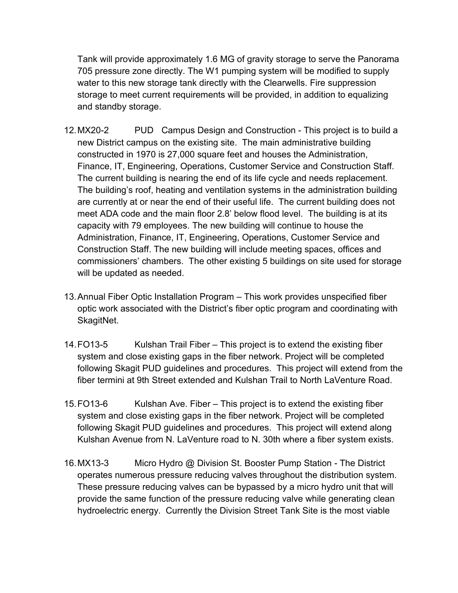Tank will provide approximately 1.6 MG of gravity storage to serve the Panorama 705 pressure zone directly. The W1 pumping system will be modified to supply water to this new storage tank directly with the Clearwells. Fire suppression storage to meet current requirements will be provided, in addition to equalizing and standby storage.

- 12.MX20-2 PUD Campus Design and Construction This project is to build a new District campus on the existing site. The main administrative building constructed in 1970 is 27,000 square feet and houses the Administration, Finance, IT, Engineering, Operations, Customer Service and Construction Staff. The current building is nearing the end of its life cycle and needs replacement. The building's roof, heating and ventilation systems in the administration building are currently at or near the end of their useful life. The current building does not meet ADA code and the main floor 2.8' below flood level. The building is at its capacity with 79 employees. The new building will continue to house the Administration, Finance, IT, Engineering, Operations, Customer Service and Construction Staff. The new building will include meeting spaces, offices and commissioners' chambers. The other existing 5 buildings on site used for storage will be updated as needed.
- 13.Annual Fiber Optic Installation Program This work provides unspecified fiber optic work associated with the District's fiber optic program and coordinating with SkagitNet.
- 14.FO13-5 Kulshan Trail Fiber This project is to extend the existing fiber system and close existing gaps in the fiber network. Project will be completed following Skagit PUD guidelines and procedures. This project will extend from the fiber termini at 9th Street extended and Kulshan Trail to North LaVenture Road.
- 15.FO13-6 Kulshan Ave. Fiber This project is to extend the existing fiber system and close existing gaps in the fiber network. Project will be completed following Skagit PUD guidelines and procedures. This project will extend along Kulshan Avenue from N. LaVenture road to N. 30th where a fiber system exists.
- 16.MX13-3 Micro Hydro @ Division St. Booster Pump Station The District operates numerous pressure reducing valves throughout the distribution system. These pressure reducing valves can be bypassed by a micro hydro unit that will provide the same function of the pressure reducing valve while generating clean hydroelectric energy. Currently the Division Street Tank Site is the most viable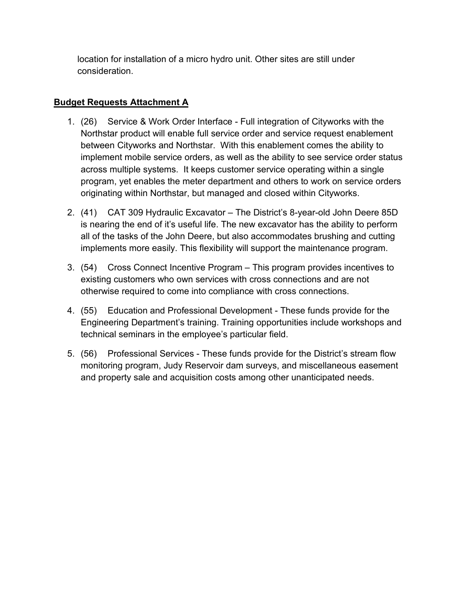location for installation of a micro hydro unit. Other sites are still under consideration.

# **Budget Requests Attachment A**

- 1. (26) Service & Work Order Interface Full integration of Cityworks with the Northstar product will enable full service order and service request enablement between Cityworks and Northstar. With this enablement comes the ability to implement mobile service orders, as well as the ability to see service order status across multiple systems. It keeps customer service operating within a single program, yet enables the meter department and others to work on service orders originating within Northstar, but managed and closed within Cityworks.
- 2. (41) CAT 309 Hydraulic Excavator The District's 8-year-old John Deere 85D is nearing the end of it's useful life. The new excavator has the ability to perform all of the tasks of the John Deere, but also accommodates brushing and cutting implements more easily. This flexibility will support the maintenance program.
- 3. (54) Cross Connect Incentive Program This program provides incentives to existing customers who own services with cross connections and are not otherwise required to come into compliance with cross connections.
- 4. (55) Education and Professional Development These funds provide for the Engineering Department's training. Training opportunities include workshops and technical seminars in the employee's particular field.
- 5. (56) Professional Services These funds provide for the District's stream flow monitoring program, Judy Reservoir dam surveys, and miscellaneous easement and property sale and acquisition costs among other unanticipated needs.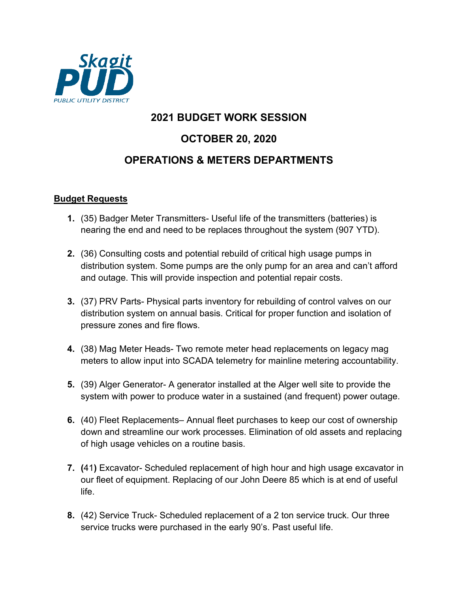

# **2021 BUDGET WORK SESSION OCTOBER 20, 2020 OPERATIONS & METERS DEPARTMENTS**

### **Budget Requests**

- **1.** (35) Badger Meter Transmitters- Useful life of the transmitters (batteries) is nearing the end and need to be replaces throughout the system (907 YTD).
- **2.** (36) Consulting costs and potential rebuild of critical high usage pumps in distribution system. Some pumps are the only pump for an area and can't afford and outage. This will provide inspection and potential repair costs.
- **3.** (37) PRV Parts- Physical parts inventory for rebuilding of control valves on our distribution system on annual basis. Critical for proper function and isolation of pressure zones and fire flows.
- **4.** (38) Mag Meter Heads- Two remote meter head replacements on legacy mag meters to allow input into SCADA telemetry for mainline metering accountability.
- **5.** (39) Alger Generator- A generator installed at the Alger well site to provide the system with power to produce water in a sustained (and frequent) power outage.
- **6.** (40) Fleet Replacements– Annual fleet purchases to keep our cost of ownership down and streamline our work processes. Elimination of old assets and replacing of high usage vehicles on a routine basis.
- **7. (**41**)** Excavator- Scheduled replacement of high hour and high usage excavator in our fleet of equipment. Replacing of our John Deere 85 which is at end of useful life.
- **8.** (42) Service Truck- Scheduled replacement of a 2 ton service truck. Our three service trucks were purchased in the early 90's. Past useful life.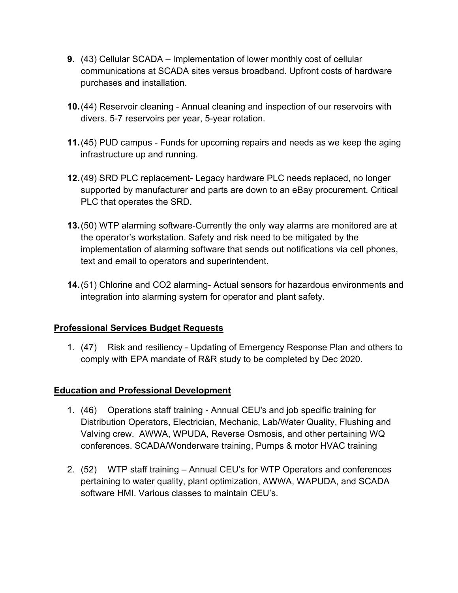- **9.** (43) Cellular SCADA Implementation of lower monthly cost of cellular communications at SCADA sites versus broadband. Upfront costs of hardware purchases and installation.
- **10.**(44) Reservoir cleaning Annual cleaning and inspection of our reservoirs with divers. 5-7 reservoirs per year, 5-year rotation.
- **11.**(45) PUD campus Funds for upcoming repairs and needs as we keep the aging infrastructure up and running.
- **12.**(49) SRD PLC replacement- Legacy hardware PLC needs replaced, no longer supported by manufacturer and parts are down to an eBay procurement. Critical PLC that operates the SRD.
- **13.**(50) WTP alarming software-Currently the only way alarms are monitored are at the operator's workstation. Safety and risk need to be mitigated by the implementation of alarming software that sends out notifications via cell phones, text and email to operators and superintendent.
- **14.**(51) Chlorine and CO2 alarming- Actual sensors for hazardous environments and integration into alarming system for operator and plant safety.

### **Professional Services Budget Requests**

1. (47) Risk and resiliency - Updating of Emergency Response Plan and others to comply with EPA mandate of R&R study to be completed by Dec 2020.

### **Education and Professional Development**

- 1. (46) Operations staff training Annual CEU's and job specific training for Distribution Operators, Electrician, Mechanic, Lab/Water Quality, Flushing and Valving crew. AWWA, WPUDA, Reverse Osmosis, and other pertaining WQ conferences. SCADA/Wonderware training, Pumps & motor HVAC training
- 2. (52) WTP staff training Annual CEU's for WTP Operators and conferences pertaining to water quality, plant optimization, AWWA, WAPUDA, and SCADA software HMI. Various classes to maintain CEU's.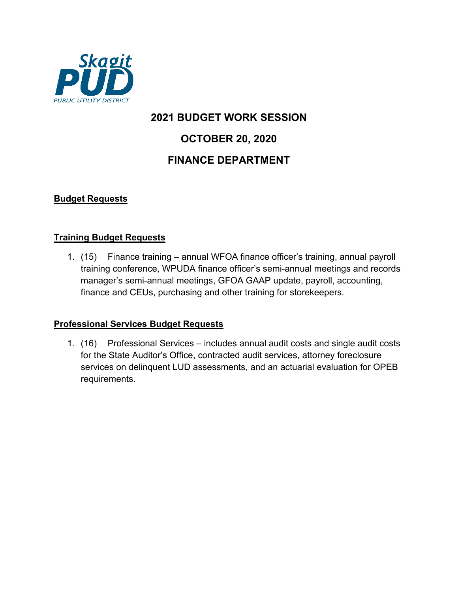

# **2021 BUDGET WORK SESSION OCTOBER 20, 2020 FINANCE DEPARTMENT**

## **Budget Requests**

### **Training Budget Requests**

1. (15) Finance training – annual WFOA finance officer's training, annual payroll training conference, WPUDA finance officer's semi-annual meetings and records manager's semi-annual meetings, GFOA GAAP update, payroll, accounting, finance and CEUs, purchasing and other training for storekeepers.

### **Professional Services Budget Requests**

1. (16) Professional Services – includes annual audit costs and single audit costs for the State Auditor's Office, contracted audit services, attorney foreclosure services on delinquent LUD assessments, and an actuarial evaluation for OPEB requirements.